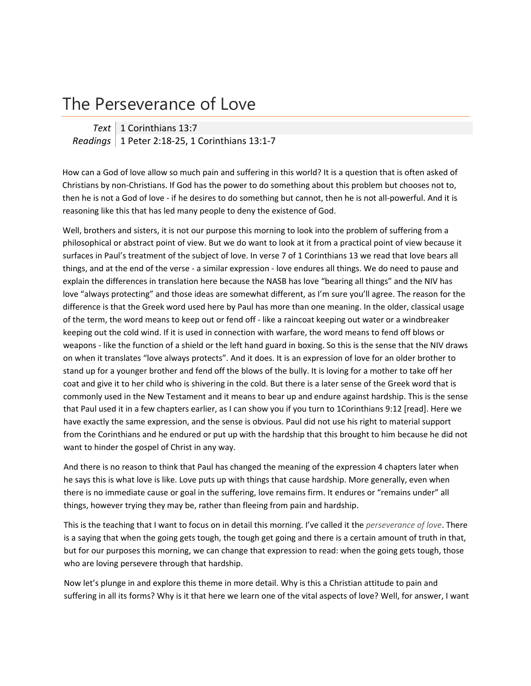## The Perseverance of Love

*Text* 1 Corinthians 13:7 *Readings* 1 Peter 2:18‐25, 1 Corinthians 13:1‐7

How can a God of love allow so much pain and suffering in this world? It is a question that is often asked of Christians by non‐Christians. If God has the power to do something about this problem but chooses not to, then he is not a God of love ‐ if he desires to do something but cannot, then he is not all‐powerful. And it is reasoning like this that has led many people to deny the existence of God.

Well, brothers and sisters, it is not our purpose this morning to look into the problem of suffering from a philosophical or abstract point of view. But we do want to look at it from a practical point of view because it surfaces in Paul's treatment of the subject of love. In verse 7 of 1 Corinthians 13 we read that love bears all things, and at the end of the verse ‐ a similar expression ‐ love endures all things. We do need to pause and explain the differences in translation here because the NASB has love "bearing all things" and the NIV has love "always protecting" and those ideas are somewhat different, as I'm sure you'll agree. The reason for the difference is that the Greek word used here by Paul has more than one meaning. In the older, classical usage of the term, the word means to keep out or fend off ‐ like a raincoat keeping out water or a windbreaker keeping out the cold wind. If it is used in connection with warfare, the word means to fend off blows or weapons - like the function of a shield or the left hand guard in boxing. So this is the sense that the NIV draws on when it translates "love always protects". And it does. It is an expression of love for an older brother to stand up for a younger brother and fend off the blows of the bully. It is loving for a mother to take off her coat and give it to her child who is shivering in the cold. But there is a later sense of the Greek word that is commonly used in the New Testament and it means to bear up and endure against hardship. This is the sense that Paul used it in a few chapters earlier, as I can show you if you turn to 1Corinthians 9:12 [read]. Here we have exactly the same expression, and the sense is obvious. Paul did not use his right to material support from the Corinthians and he endured or put up with the hardship that this brought to him because he did not want to hinder the gospel of Christ in any way.

And there is no reason to think that Paul has changed the meaning of the expression 4 chapters later when he says this is what love is like. Love puts up with things that cause hardship. More generally, even when there is no immediate cause or goal in the suffering, love remains firm. It endures or "remains under" all things, however trying they may be, rather than fleeing from pain and hardship.

This is the teaching that I want to focus on in detail this morning. I've called it the *perseverance of love*. There is a saying that when the going gets tough, the tough get going and there is a certain amount of truth in that, but for our purposes this morning, we can change that expression to read: when the going gets tough, those who are loving persevere through that hardship.

Now let's plunge in and explore this theme in more detail. Why is this a Christian attitude to pain and suffering in all its forms? Why is it that here we learn one of the vital aspects of love? Well, for answer, I want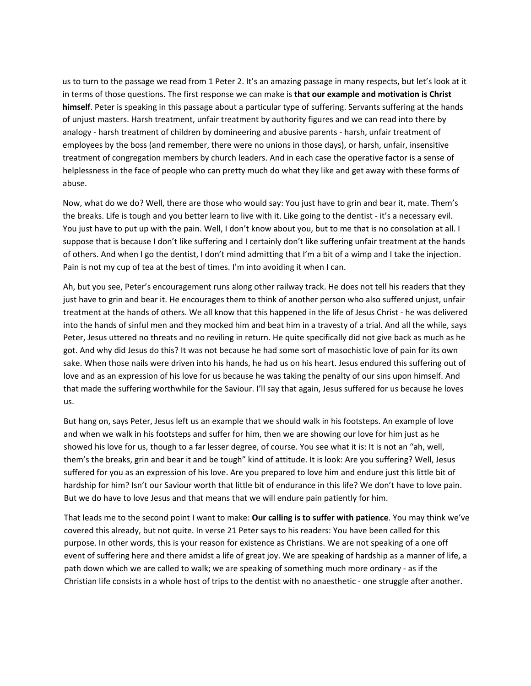us to turn to the passage we read from 1 Peter 2. It's an amazing passage in many respects, but let's look at it in terms of those questions. The first response we can make is **that our example and motivation is Christ himself**. Peter is speaking in this passage about a particular type of suffering. Servants suffering at the hands of unjust masters. Harsh treatment, unfair treatment by authority figures and we can read into there by analogy - harsh treatment of children by domineering and abusive parents - harsh, unfair treatment of employees by the boss (and remember, there were no unions in those days), or harsh, unfair, insensitive treatment of congregation members by church leaders. And in each case the operative factor is a sense of helplessness in the face of people who can pretty much do what they like and get away with these forms of abuse.

Now, what do we do? Well, there are those who would say: You just have to grin and bear it, mate. Them's the breaks. Life is tough and you better learn to live with it. Like going to the dentist ‐ it's a necessary evil. You just have to put up with the pain. Well, I don't know about you, but to me that is no consolation at all. I suppose that is because I don't like suffering and I certainly don't like suffering unfair treatment at the hands of others. And when I go the dentist, I don't mind admitting that I'm a bit of a wimp and I take the injection. Pain is not my cup of tea at the best of times. I'm into avoiding it when I can.

Ah, but you see, Peter's encouragement runs along other railway track. He does not tell his readers that they just have to grin and bear it. He encourages them to think of another person who also suffered unjust, unfair treatment at the hands of others. We all know that this happened in the life of Jesus Christ ‐ he was delivered into the hands of sinful men and they mocked him and beat him in a travesty of a trial. And all the while, says Peter, Jesus uttered no threats and no reviling in return. He quite specifically did not give back as much as he got. And why did Jesus do this? It was not because he had some sort of masochistic love of pain for its own sake. When those nails were driven into his hands, he had us on his heart. Jesus endured this suffering out of love and as an expression of his love for us because he was taking the penalty of our sins upon himself. And that made the suffering worthwhile for the Saviour. I'll say that again, Jesus suffered for us because he loves us.

But hang on, says Peter, Jesus left us an example that we should walk in his footsteps. An example of love and when we walk in his footsteps and suffer for him, then we are showing our love for him just as he showed his love for us, though to a far lesser degree, of course. You see what it is: It is not an "ah, well, them's the breaks, grin and bear it and be tough" kind of attitude. It is look: Are you suffering? Well, Jesus suffered for you as an expression of his love. Are you prepared to love him and endure just this little bit of hardship for him? Isn't our Saviour worth that little bit of endurance in this life? We don't have to love pain. But we do have to love Jesus and that means that we will endure pain patiently for him.

That leads me to the second point I want to make: **Our calling is to suffer with patience**. You may think we've covered this already, but not quite. In verse 21 Peter says to his readers: You have been called for this purpose. In other words, this is your reason for existence as Christians. We are not speaking of a one off event of suffering here and there amidst a life of great joy. We are speaking of hardship as a manner of life, a path down which we are called to walk; we are speaking of something much more ordinary ‐ as if the Christian life consists in a whole host of trips to the dentist with no anaesthetic ‐ one struggle after another.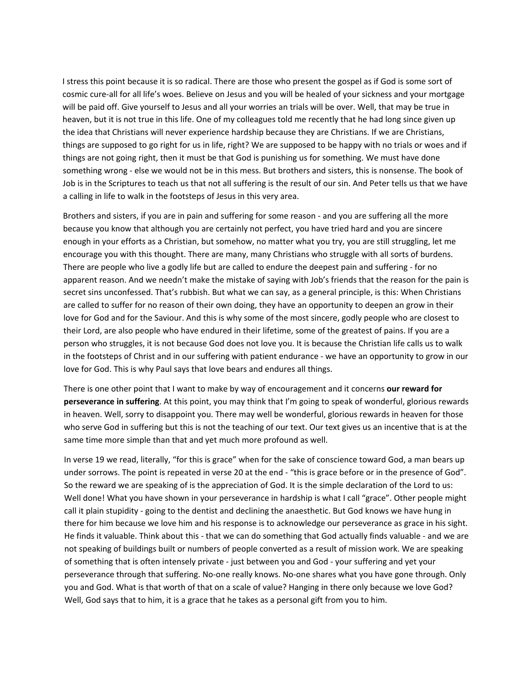I stress this point because it is so radical. There are those who present the gospel as if God is some sort of cosmic cure‐all for all life's woes. Believe on Jesus and you will be healed of your sickness and your mortgage will be paid off. Give yourself to Jesus and all your worries an trials will be over. Well, that may be true in heaven, but it is not true in this life. One of my colleagues told me recently that he had long since given up the idea that Christians will never experience hardship because they are Christians. If we are Christians, things are supposed to go right for us in life, right? We are supposed to be happy with no trials or woes and if things are not going right, then it must be that God is punishing us for something. We must have done something wrong ‐ else we would not be in this mess. But brothers and sisters, this is nonsense. The book of Job is in the Scriptures to teach us that not all suffering is the result of our sin. And Peter tells us that we have a calling in life to walk in the footsteps of Jesus in this very area.

Brothers and sisters, if you are in pain and suffering for some reason ‐ and you are suffering all the more because you know that although you are certainly not perfect, you have tried hard and you are sincere enough in your efforts as a Christian, but somehow, no matter what you try, you are still struggling, let me encourage you with this thought. There are many, many Christians who struggle with all sorts of burdens. There are people who live a godly life but are called to endure the deepest pain and suffering ‐ for no apparent reason. And we needn't make the mistake of saying with Job's friends that the reason for the pain is secret sins unconfessed. That's rubbish. But what we can say, as a general principle, is this: When Christians are called to suffer for no reason of their own doing, they have an opportunity to deepen an grow in their love for God and for the Saviour. And this is why some of the most sincere, godly people who are closest to their Lord, are also people who have endured in their lifetime, some of the greatest of pains. If you are a person who struggles, it is not because God does not love you. It is because the Christian life calls us to walk in the footsteps of Christ and in our suffering with patient endurance ‐ we have an opportunity to grow in our love for God. This is why Paul says that love bears and endures all things.

There is one other point that I want to make by way of encouragement and it concerns **our reward for perseverance in suffering**. At this point, you may think that I'm going to speak of wonderful, glorious rewards in heaven. Well, sorry to disappoint you. There may well be wonderful, glorious rewards in heaven for those who serve God in suffering but this is not the teaching of our text. Our text gives us an incentive that is at the same time more simple than that and yet much more profound as well.

In verse 19 we read, literally, "for this is grace" when for the sake of conscience toward God, a man bears up under sorrows. The point is repeated in verse 20 at the end ‐ "this is grace before or in the presence of God". So the reward we are speaking of is the appreciation of God. It is the simple declaration of the Lord to us: Well done! What you have shown in your perseverance in hardship is what I call "grace". Other people might call it plain stupidity - going to the dentist and declining the anaesthetic. But God knows we have hung in there for him because we love him and his response is to acknowledge our perseverance as grace in his sight. He finds it valuable. Think about this - that we can do something that God actually finds valuable - and we are not speaking of buildings built or numbers of people converted as a result of mission work. We are speaking of something that is often intensely private ‐ just between you and God ‐ your suffering and yet your perseverance through that suffering. No‐one really knows. No‐one shares what you have gone through. Only you and God. What is that worth of that on a scale of value? Hanging in there only because we love God? Well, God says that to him, it is a grace that he takes as a personal gift from you to him.